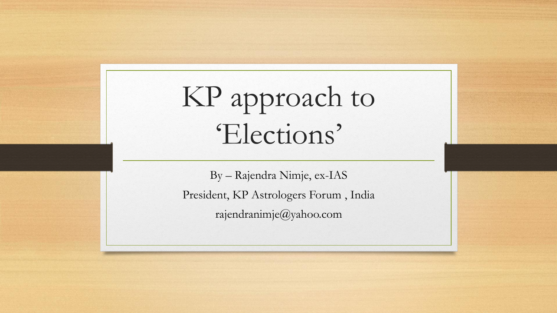# KP approach to 'Elections'

By – Rajendra Nimje, ex-IAS President, KP Astrologers Forum , India rajendranimje@yahoo.com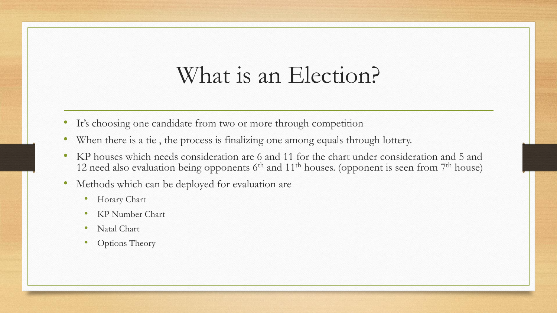#### What is an Election?

- It's choosing one candidate from two or more through competition
- When there is a tie , the process is finalizing one among equals through lottery.
- KP houses which needs consideration are 6 and 11 for the chart under consideration and 5 and 12 need also evaluation being opponents  $6<sup>th</sup>$  and  $11<sup>th</sup>$  houses. (opponent is seen from  $7<sup>th</sup>$  house)
- Methods which can be deployed for evaluation are
	- Horary Chart
	- KP Number Chart
	- Natal Chart
	- Options Theory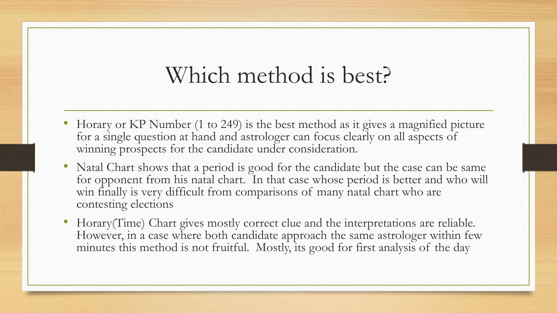#### Which method is best?

- Horary or KP Number (1 to 249) is the best method as it gives a magnified picture for a single question at hand and astrologer can focus clearly on all aspects of winning prospects for the candidate under consideration.
- Natal Chart shows that a period is good for the candidate but the case can be same for opponent from his natal chart. In that case whose period is better and who will win finally is very difficult from comparisons of many natal chart who are contesting elections
- Horary(Time) Chart gives mostly correct clue and the interpretations are reliable. However, in a case where both candidate approach the same astrologer within few minutes this method is not fruitful. Mostly, its good for first analysis of the day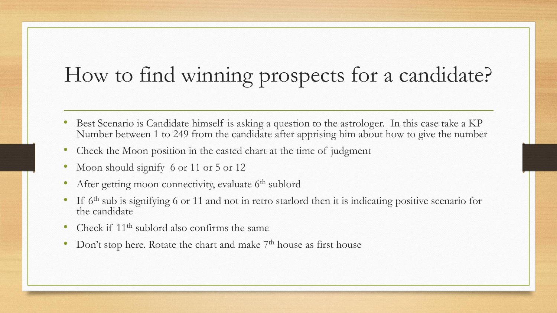## How to find winning prospects for a candidate?

- Best Scenario is Candidate himself is asking a question to the astrologer. In this case take a KP Number between 1 to 249 from the candidate after apprising him about how to give the number
- Check the Moon position in the casted chart at the time of judgment
- Moon should signify 6 or 11 or 5 or 12
- After getting moon connectivity, evaluate 6<sup>th</sup> sublord
- If 6<sup>th</sup> sub is signifying 6 or 11 and not in retro starlord then it is indicating positive scenario for the candidate
- Check if  $11<sup>th</sup>$  sublord also confirms the same
- Don't stop here. Rotate the chart and make  $7<sup>th</sup>$  house as first house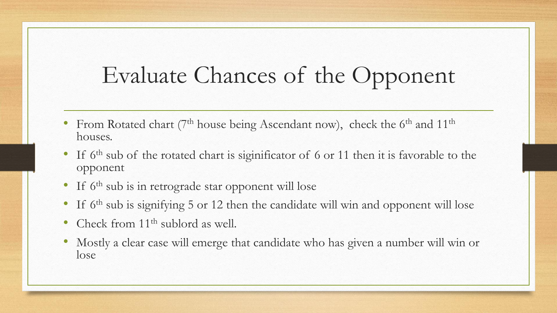## Evaluate Chances of the Opponent

- From Rotated chart ( $7<sup>th</sup>$  house being Ascendant now), check the  $6<sup>th</sup>$  and  $11<sup>th</sup>$ houses.
- If  $6<sup>th</sup>$  sub of the rotated chart is siginificator of 6 or 11 then it is favorable to the opponent
- If 6<sup>th</sup> sub is in retrograde star opponent will lose
- If  $6<sup>th</sup>$  sub is signifying 5 or 12 then the candidate will win and opponent will lose
- Check from  $11<sup>th</sup>$  sublord as well.
- Mostly a clear case will emerge that candidate who has given a number will win or lose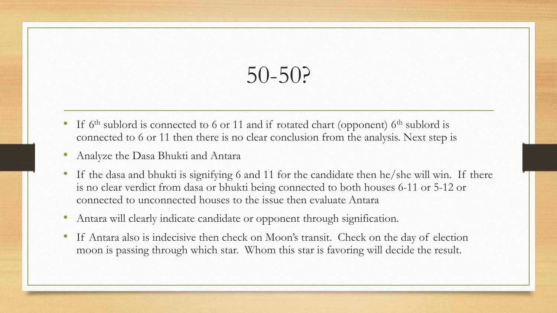### 50-50?

- If  $6<sup>th</sup>$  sublord is connected to 6 or 11 and if rotated chart (opponent)  $6<sup>th</sup>$  sublord is connected to 6 or 11 then there is no clear conclusion from the analysis. Next step is
- Analyze the Dasa Bhukti and Antara
- If the dasa and bhukti is signifying 6 and 11 for the candidate then he/she will win. If there is no clear verdict from dasa or bhukti being connected to both houses 6-11 or 5-12 or connected to unconnected houses to the issue then evaluate Antara
- Antara will clearly indicate candidate or opponent through signification.
- If Antara also is indecisive then check on Moon's transit. Check on the day of election moon is passing through which star. Whom this star is favoring will decide the result.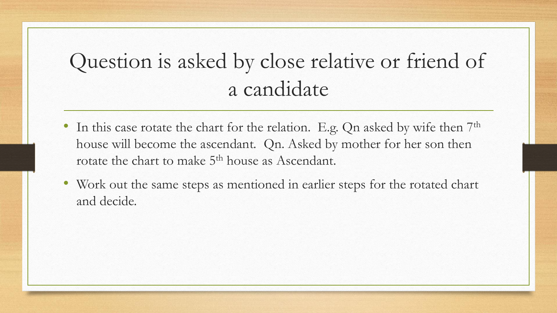#### Question is asked by close relative or friend of a candidate

- In this case rotate the chart for the relation. E.g. Qn asked by wife then  $7<sup>th</sup>$ house will become the ascendant. Qn. Asked by mother for her son then rotate the chart to make 5<sup>th</sup> house as Ascendant.
- Work out the same steps as mentioned in earlier steps for the rotated chart and decide.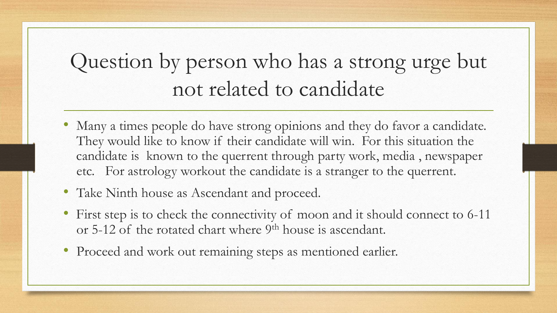#### Question by person who has a strong urge but not related to candidate

- Many a times people do have strong opinions and they do favor a candidate. They would like to know if their candidate will win. For this situation the candidate is known to the querrent through party work, media , newspaper etc. For astrology workout the candidate is a stranger to the querrent.
- Take Ninth house as Ascendant and proceed.
- First step is to check the connectivity of moon and it should connect to 6-11 or 5-12 of the rotated chart where 9<sup>th</sup> house is ascendant.
- Proceed and work out remaining steps as mentioned earlier.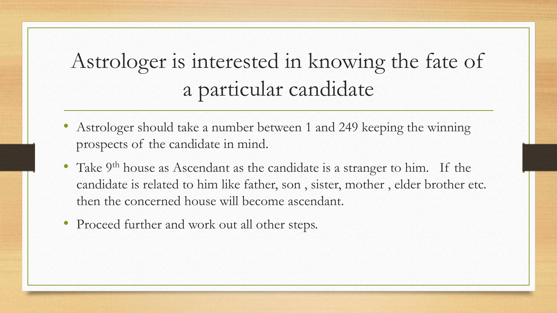#### Astrologer is interested in knowing the fate of a particular candidate

- Astrologer should take a number between 1 and 249 keeping the winning prospects of the candidate in mind.
- Take 9<sup>th</sup> house as Ascendant as the candidate is a stranger to him. If the candidate is related to him like father, son , sister, mother , elder brother etc. then the concerned house will become ascendant.
- Proceed further and work out all other steps.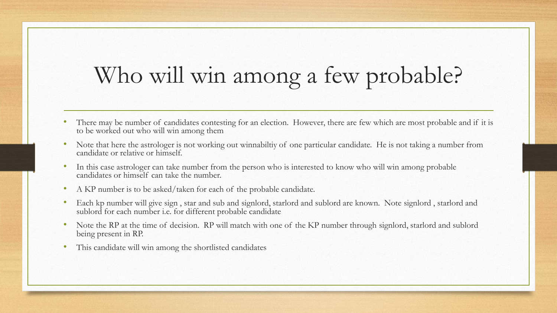# Who will win among a few probable?

- There may be number of candidates contesting for an election. However, there are few which are most probable and if it is to be worked out who will win among them
- Note that here the astrologer is not working out winnabiltiy of one particular candidate. He is not taking a number from candidate or relative or himself.
- In this case astrologer can take number from the person who is interested to know who will win among probable candidates or himself can take the number.
- A KP number is to be asked/taken for each of the probable candidate.
- Each kp number will give sign , star and sub and signlord, starlord and sublord are known. Note signlord , starlord and sublord for each number i.e. for different probable candidate
- Note the RP at the time of decision. RP will match with one of the KP number through signlord, starlord and sublord being present in RP.
- This candidate will win among the shortlisted candidates